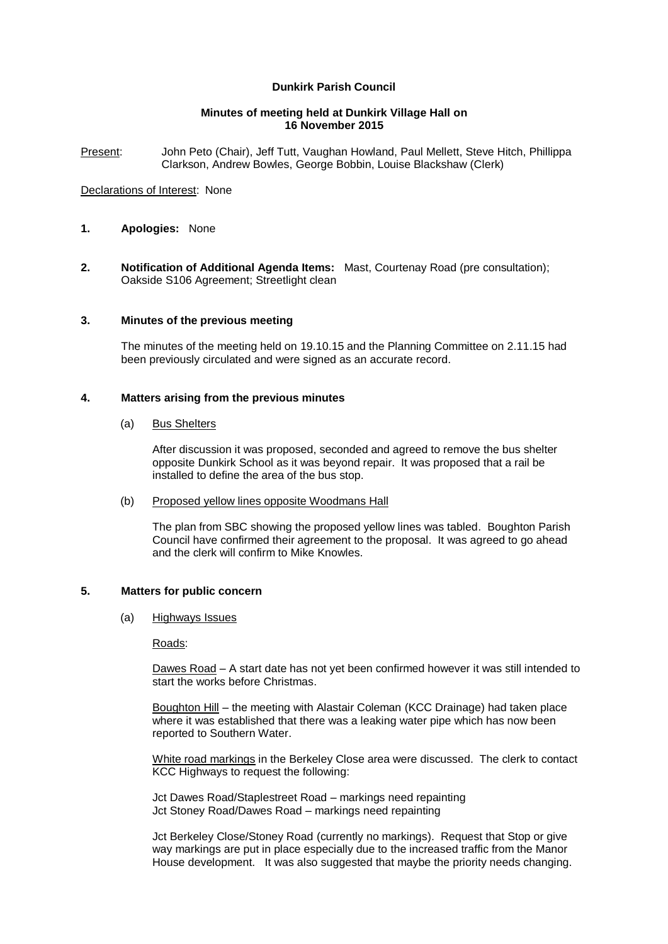# **Dunkirk Parish Council**

### **Minutes of meeting held at Dunkirk Village Hall on 16 November 2015**

Present: John Peto (Chair), Jeff Tutt, Vaughan Howland, Paul Mellett, Steve Hitch, Phillippa Clarkson, Andrew Bowles, George Bobbin, Louise Blackshaw (Clerk)

### Declarations of Interest: None

- **1. Apologies:** None
- **2. Notification of Additional Agenda Items:** Mast, Courtenay Road (pre consultation); Oakside S106 Agreement; Streetlight clean

## **3. Minutes of the previous meeting**

The minutes of the meeting held on 19.10.15 and the Planning Committee on 2.11.15 had been previously circulated and were signed as an accurate record.

## **4. Matters arising from the previous minutes**

#### (a) Bus Shelters

After discussion it was proposed, seconded and agreed to remove the bus shelter opposite Dunkirk School as it was beyond repair. It was proposed that a rail be installed to define the area of the bus stop.

#### (b) Proposed yellow lines opposite Woodmans Hall

The plan from SBC showing the proposed yellow lines was tabled. Boughton Parish Council have confirmed their agreement to the proposal. It was agreed to go ahead and the clerk will confirm to Mike Knowles.

## **5. Matters for public concern**

(a) Highways Issues

Roads:

Dawes Road – A start date has not yet been confirmed however it was still intended to start the works before Christmas.

Boughton Hill – the meeting with Alastair Coleman (KCC Drainage) had taken place where it was established that there was a leaking water pipe which has now been reported to Southern Water.

White road markings in the Berkeley Close area were discussed. The clerk to contact KCC Highways to request the following:

Jct Dawes Road/Staplestreet Road – markings need repainting Jct Stoney Road/Dawes Road – markings need repainting

Jct Berkeley Close/Stoney Road (currently no markings). Request that Stop or give way markings are put in place especially due to the increased traffic from the Manor House development. It was also suggested that maybe the priority needs changing.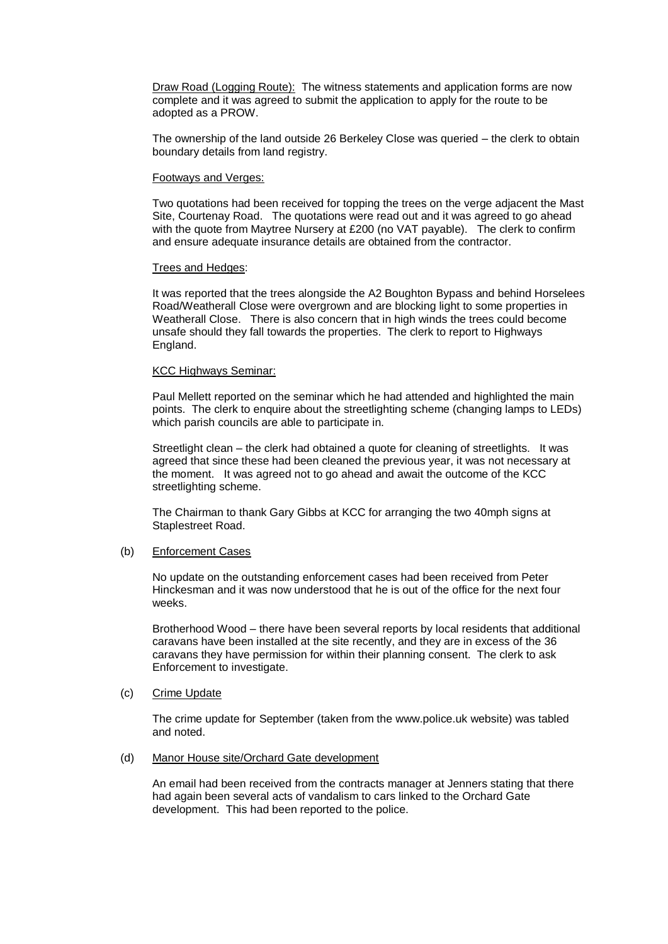Draw Road (Logging Route): The witness statements and application forms are now complete and it was agreed to submit the application to apply for the route to be adopted as a PROW.

The ownership of the land outside 26 Berkeley Close was queried – the clerk to obtain boundary details from land registry.

#### Footways and Verges:

Two quotations had been received for topping the trees on the verge adjacent the Mast Site, Courtenay Road. The quotations were read out and it was agreed to go ahead with the quote from Maytree Nursery at £200 (no VAT payable). The clerk to confirm and ensure adequate insurance details are obtained from the contractor.

#### Trees and Hedges:

It was reported that the trees alongside the A2 Boughton Bypass and behind Horselees Road/Weatherall Close were overgrown and are blocking light to some properties in Weatherall Close. There is also concern that in high winds the trees could become unsafe should they fall towards the properties. The clerk to report to Highways England.

## KCC Highways Seminar:

Paul Mellett reported on the seminar which he had attended and highlighted the main points. The clerk to enquire about the streetlighting scheme (changing lamps to LEDs) which parish councils are able to participate in.

Streetlight clean – the clerk had obtained a quote for cleaning of streetlights. It was agreed that since these had been cleaned the previous year, it was not necessary at the moment. It was agreed not to go ahead and await the outcome of the KCC streetlighting scheme.

The Chairman to thank Gary Gibbs at KCC for arranging the two 40mph signs at Staplestreet Road.

#### (b) Enforcement Cases

No update on the outstanding enforcement cases had been received from Peter Hinckesman and it was now understood that he is out of the office for the next four weeks.

Brotherhood Wood – there have been several reports by local residents that additional caravans have been installed at the site recently, and they are in excess of the 36 caravans they have permission for within their planning consent. The clerk to ask Enforcement to investigate.

## (c) Crime Update

The crime update for September (taken from the [www.police.uk](http://www.police.uk/) website) was tabled and noted.

#### (d) Manor House site/Orchard Gate development

An email had been received from the contracts manager at Jenners stating that there had again been several acts of vandalism to cars linked to the Orchard Gate development. This had been reported to the police.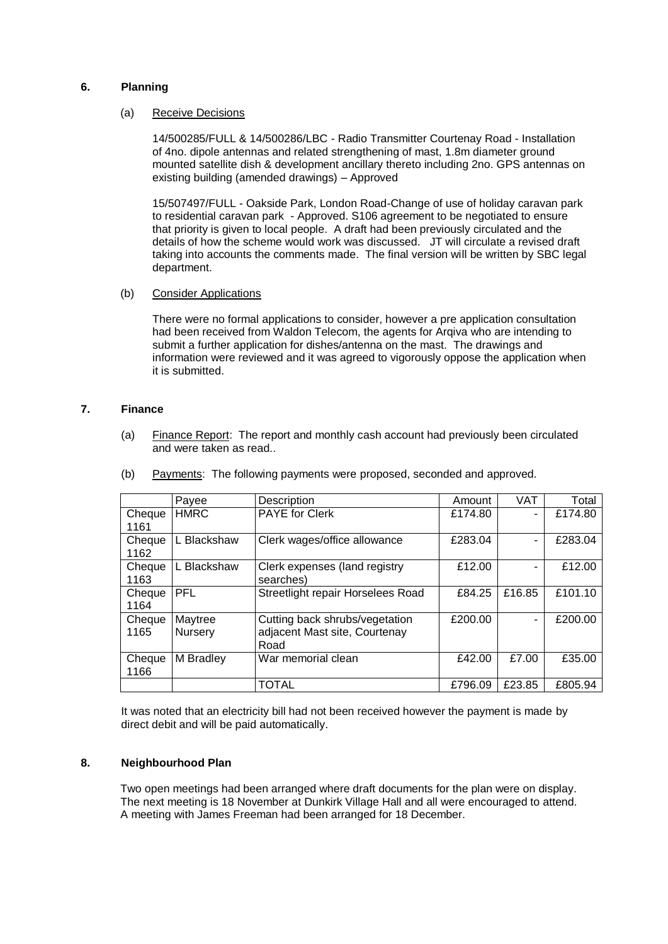# **6. Planning**

#### (a) Receive Decisions

14/500285/FULL & 14/500286/LBC - Radio Transmitter Courtenay Road - Installation of 4no. dipole antennas and related strengthening of mast, 1.8m diameter ground mounted satellite dish & development ancillary thereto including 2no. GPS antennas on existing building (amended drawings) – Approved

15/507497/FULL - Oakside Park, London Road-Change of use of holiday caravan park to residential caravan park - Approved. S106 agreement to be negotiated to ensure that priority is given to local people. A draft had been previously circulated and the details of how the scheme would work was discussed. JT will circulate a revised draft taking into accounts the comments made. The final version will be written by SBC legal department.

## (b) Consider Applications

There were no formal applications to consider, however a pre application consultation had been received from Waldon Telecom, the agents for Arqiva who are intending to submit a further application for dishes/antenna on the mast. The drawings and information were reviewed and it was agreed to vigorously oppose the application when it is submitted.

## **7. Finance**

(a) Finance Report: The report and monthly cash account had previously been circulated and were taken as read..

|                             | Payee              | Description                                                                        | Amount  | <b>VAT</b> | Total   |
|-----------------------------|--------------------|------------------------------------------------------------------------------------|---------|------------|---------|
| Cheque<br>1161              | <b>HMRC</b>        | <b>PAYE</b> for Clerk<br>£174.80                                                   |         | ۰          | £174.80 |
| Cheque<br>1162              | L Blackshaw        | Clerk wages/office allowance                                                       | £283.04 | ۰          | £283.04 |
| Cheque<br>1163              | L Blackshaw        | Clerk expenses (land registry<br>searches)                                         | £12.00  |            | £12.00  |
| Cheque<br>1164              | <b>PFL</b>         | Streetlight repair Horselees Road<br>£84.25                                        |         | £16.85     | £101.10 |
| Cheque<br>1165              | Maytree<br>Nursery | £200.00<br>Cutting back shrubs/vegetation<br>adjacent Mast site, Courtenay<br>Road |         | ۰          | £200.00 |
| M Bradley<br>Cheque<br>1166 |                    | War memorial clean                                                                 | £42.00  | £7.00      | £35.00  |
|                             |                    | <b>TOTAL</b>                                                                       | £796.09 | £23.85     | £805.94 |

(b) Payments: The following payments were proposed, seconded and approved.

It was noted that an electricity bill had not been received however the payment is made by direct debit and will be paid automatically.

## **8. Neighbourhood Plan**

Two open meetings had been arranged where draft documents for the plan were on display. The next meeting is 18 November at Dunkirk Village Hall and all were encouraged to attend. A meeting with James Freeman had been arranged for 18 December.